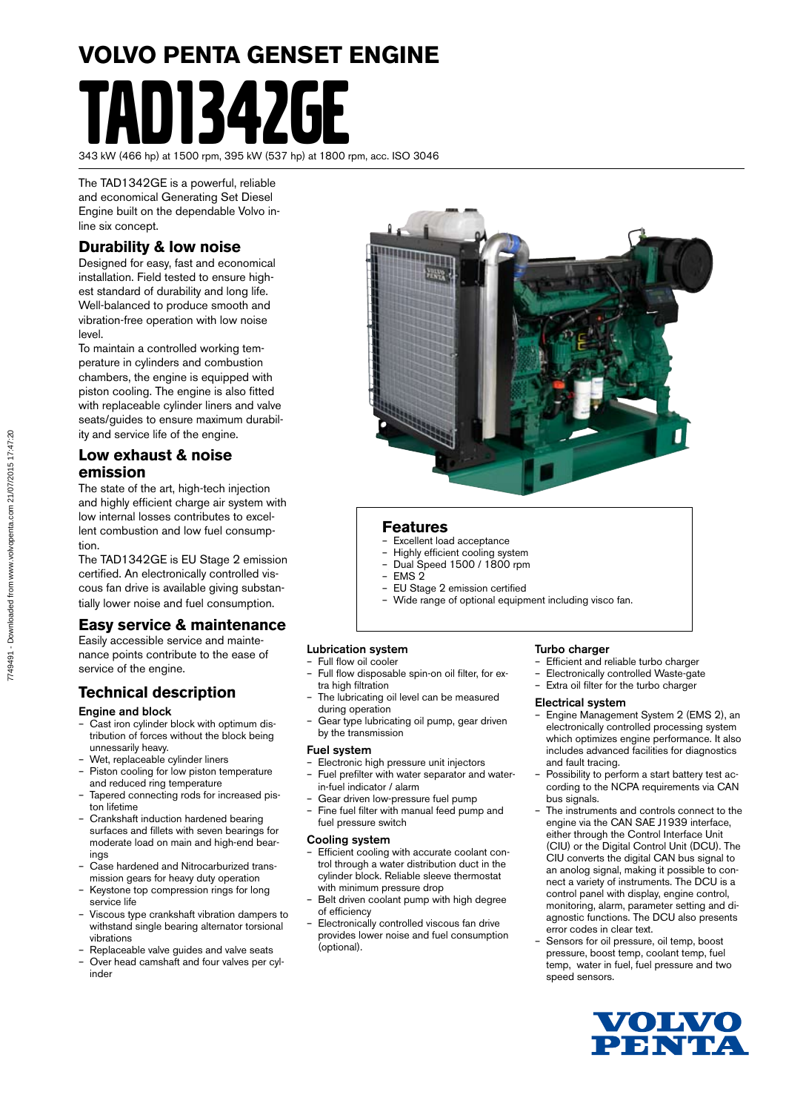# **VOLVO PENTA GENSET ENGINE** D1347GF

343 kW (466 hp) at 1500 rpm, 395 kW (537 hp) at 1800 rpm, acc. ISO 3046

The TAD1342GE is a powerful, reliable and economical Generating Set Diesel Engine built on the dependable Volvo inline six concept.

#### **Durability & low noise**

Designed for easy, fast and economical installation. Field tested to ensure highest standard of durability and long life. Well-balanced to produce smooth and vibration-free operation with low noise level.

To maintain a controlled working temperature in cylinders and combustion chambers, the engine is equipped with piston cooling. The engine is also fitted with replaceable cylinder liners and valve seats/guides to ensure maximum durability and service life of the engine.

#### **Low exhaust & noise emission**

The state of the art, high-tech injection and highly efficient charge air system with low internal losses contributes to excellent combustion and low fuel consumption.

The TAD1342GE is EU Stage 2 emission certified. An electronically controlled viscous fan drive is available giving substantially lower noise and fuel consumption.

#### **Easy service & maintenance**

Easily accessible service and maintenance points contribute to the ease of service of the engine.

#### **Technical description**

#### Engine and block

- Cast iron cylinder block with optimum distribution of forces without the block being unnessarily heavy.
- Wet, replaceable cylinder liners
- Piston cooling for low piston temperature and reduced ring temperature
- Tapered connecting rods for increased piston lifetime
- Crankshaft induction hardened bearing surfaces and fillets with seven bearings for moderate load on main and high-end bearings
- Case hardened and Nitrocarburized transmission gears for heavy duty operation
- Keystone top compression rings for long service life
- Viscous type crankshaft vibration dampers to withstand single bearing alternator torsional vibrations
- Replaceable valve guides and valve seats
- Over head camshaft and four valves per cylinder



#### **Features**

- Excellent load acceptance
- Highly efficient cooling system – Dual Speed 1500 / 1800 rpm
- EMS 2
- EU Stage 2 emission certified
- Wide range of optional equipment including visco fan.

#### Lubrication system

- Full flow oil cooler
- Full flow disposable spin-on oil filter, for extra high filtration
- The lubricating oil level can be measured during operation
- Gear type lubricating oil pump, gear driven by the transmission

#### Fuel system

- Electronic high pressure unit injectors – Fuel prefilter with water separator and water-
- in-fuel indicator / alarm
- Gear driven low-pressure fuel pump – Fine fuel filter with manual feed pump and
- fuel pressure switch

#### Cooling system

- Efficient cooling with accurate coolant control through a water distribution duct in the cylinder block. Reliable sleeve thermostat with minimum pressure drop
- Belt driven coolant pump with high degree of efficiency
- Electronically controlled viscous fan drive provides lower noise and fuel consumption (optional).

#### Turbo charger

- Efficient and reliable turbo charger
- Electronically controlled Waste-gate
- Extra oil filter for the turbo charger

#### Electrical system

- Engine Management System 2 (EMS 2), an electronically controlled processing system which optimizes engine performance. It also includes advanced facilities for diagnostics and fault tracing.
- Possibility to perform a start battery test according to the NCPA requirements via CAN bus signals.
- The instruments and controls connect to the engine via the CAN SAE J1939 interface, either through the Control Interface Unit (CIU) or the Digital Control Unit (DCU). The CIU converts the digital CAN bus signal to an anolog signal, making it possible to connect a variety of instruments. The DCU is a control panel with display, engine control, monitoring, alarm, parameter setting and diagnostic functions. The DCU also presents error codes in clear text.
- Sensors for oil pressure, oil temp, boost pressure, boost temp, coolant temp, fuel temp, water in fuel, fuel pressure and two speed sensors.

![](_page_0_Picture_53.jpeg)